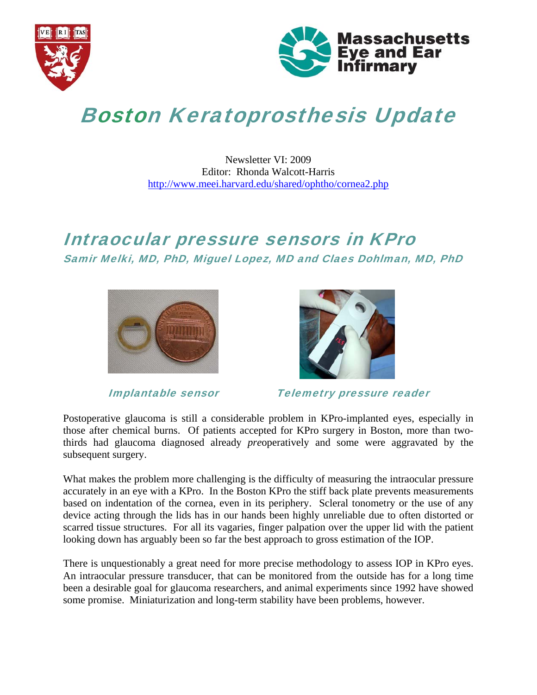



# Boston Keratoprosthesis Update

#### Newsletter VI: 2009 Editor: Rhonda Walcott-Harris http://www.meei.harvard.edu/shared/ophtho/cornea2.php

# Intraocular pressure sensors in KPro Samir Melki, MD, PhD, Miguel Lopez, MD and Claes Dohlman, MD, PhD





Implantable sensor Telemetry pressure reader

Postoperative glaucoma is still a considerable problem in KPro-implanted eyes, especially in those after chemical burns. Of patients accepted for KPro surgery in Boston, more than twothirds had glaucoma diagnosed already *pre*operatively and some were aggravated by the subsequent surgery.

What makes the problem more challenging is the difficulty of measuring the intraocular pressure accurately in an eye with a KPro. In the Boston KPro the stiff back plate prevents measurements based on indentation of the cornea, even in its periphery. Scleral tonometry or the use of any device acting through the lids has in our hands been highly unreliable due to often distorted or scarred tissue structures. For all its vagaries, finger palpation over the upper lid with the patient looking down has arguably been so far the best approach to gross estimation of the IOP.

There is unquestionably a great need for more precise methodology to assess IOP in KPro eyes. An intraocular pressure transducer, that can be monitored from the outside has for a long time been a desirable goal for glaucoma researchers, and animal experiments since 1992 have showed some promise. Miniaturization and long-term stability have been problems, however.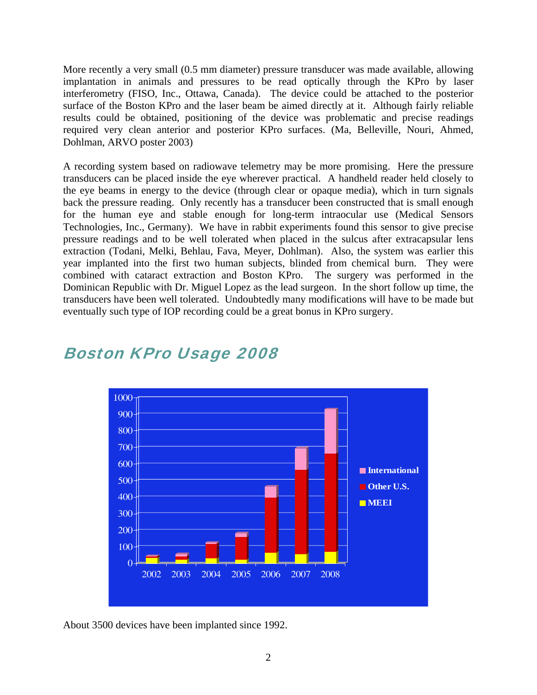More recently a very small (0.5 mm diameter) pressure transducer was made available, allowing implantation in animals and pressures to be read optically through the KPro by laser interferometry (FISO, Inc., Ottawa, Canada). The device could be attached to the posterior surface of the Boston KPro and the laser beam be aimed directly at it. Although fairly reliable results could be obtained, positioning of the device was problematic and precise readings required very clean anterior and posterior KPro surfaces. (Ma, Belleville, Nouri, Ahmed, Dohlman, ARVO poster 2003)

A recording system based on radiowave telemetry may be more promising. Here the pressure transducers can be placed inside the eye wherever practical. A handheld reader held closely to the eye beams in energy to the device (through clear or opaque media), which in turn signals back the pressure reading. Only recently has a transducer been constructed that is small enough for the human eye and stable enough for long-term intraocular use (Medical Sensors Technologies, Inc., Germany). We have in rabbit experiments found this sensor to give precise pressure readings and to be well tolerated when placed in the sulcus after extracapsular lens extraction (Todani, Melki, Behlau, Fava, Meyer, Dohlman). Also, the system was earlier this year implanted into the first two human subjects, blinded from chemical burn. They were combined with cataract extraction and Boston KPro. The surgery was performed in the Dominican Republic with Dr. Miguel Lopez as the lead surgeon. In the short follow up time, the transducers have been well tolerated. Undoubtedly many modifications will have to be made but eventually such type of IOP recording could be a great bonus in KPro surgery.



### Boston KPro Usage 2008

About 3500 devices have been implanted since 1992.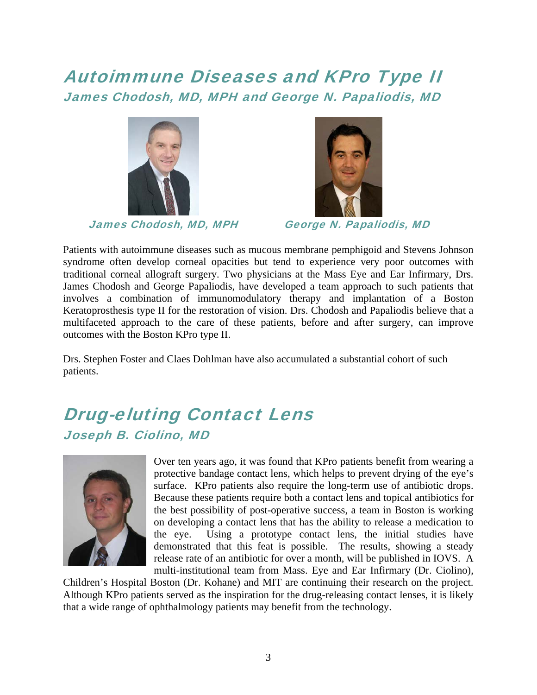# Autoimmune Diseases and KPro Type II James Chodosh, MD, MPH and George N. Papaliodis, MD



James Chodosh, MD, MPH George N. Papaliodis, MD



Patients with autoimmune diseases such as mucous membrane pemphigoid and Stevens Johnson syndrome often develop corneal opacities but tend to experience very poor outcomes with traditional corneal allograft surgery. Two physicians at the Mass Eye and Ear Infirmary, Drs. James Chodosh and George Papaliodis, have developed a team approach to such patients that involves a combination of immunomodulatory therapy and implantation of a Boston Keratoprosthesis type II for the restoration of vision. Drs. Chodosh and Papaliodis believe that a multifaceted approach to the care of these patients, before and after surgery, can improve outcomes with the Boston KPro type II.

Drs. Stephen Foster and Claes Dohlman have also accumulated a substantial cohort of such patients.

# Drug-eluting Contact Lens Joseph B. Ciolino, MD



Over ten years ago, it was found that KPro patients benefit from wearing a protective bandage contact lens, which helps to prevent drying of the eye's surface. KPro patients also require the long-term use of antibiotic drops. Because these patients require both a contact lens and topical antibiotics for the best possibility of post-operative success, a team in Boston is working on developing a contact lens that has the ability to release a medication to the eye. Using a prototype contact lens, the initial studies have demonstrated that this feat is possible. The results, showing a steady release rate of an antibiotic for over a month, will be published in IOVS. A multi-institutional team from Mass. Eye and Ear Infirmary (Dr. Ciolino),

Children's Hospital Boston (Dr. Kohane) and MIT are continuing their research on the project. Although KPro patients served as the inspiration for the drug-releasing contact lenses, it is likely that a wide range of ophthalmology patients may benefit from the technology.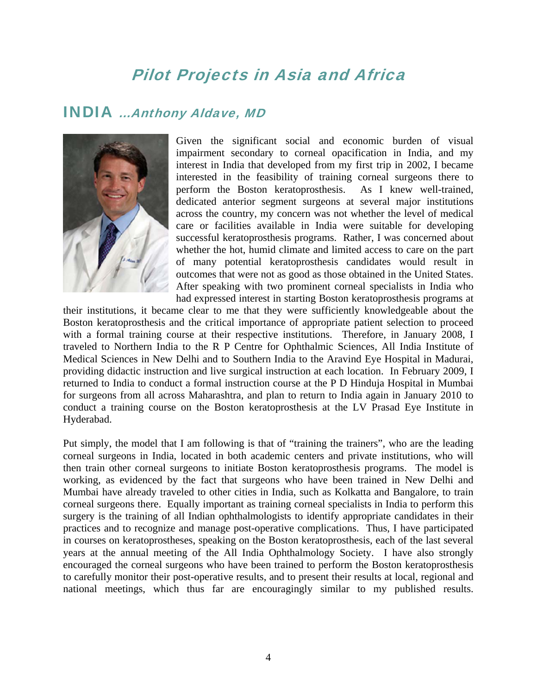# Pilot Projects in Asia and Africa

#### INDIA …Anthony Aldave, MD



Given the significant social and economic burden of visual impairment secondary to corneal opacification in India, and my interest in India that developed from my first trip in 2002, I became interested in the feasibility of training corneal surgeons there to perform the Boston keratoprosthesis. As I knew well-trained, dedicated anterior segment surgeons at several major institutions across the country, my concern was not whether the level of medical care or facilities available in India were suitable for developing successful keratoprosthesis programs. Rather, I was concerned about whether the hot, humid climate and limited access to care on the part of many potential keratoprosthesis candidates would result in outcomes that were not as good as those obtained in the United States. After speaking with two prominent corneal specialists in India who had expressed interest in starting Boston keratoprosthesis programs at

their institutions, it became clear to me that they were sufficiently knowledgeable about the Boston keratoprosthesis and the critical importance of appropriate patient selection to proceed with a formal training course at their respective institutions. Therefore, in January 2008, I traveled to Northern India to the R P Centre for Ophthalmic Sciences, All India Institute of Medical Sciences in New Delhi and to Southern India to the Aravind Eye Hospital in Madurai, providing didactic instruction and live surgical instruction at each location. In February 2009, I returned to India to conduct a formal instruction course at the P D Hinduja Hospital in Mumbai for surgeons from all across Maharashtra, and plan to return to India again in January 2010 to conduct a training course on the Boston keratoprosthesis at the LV Prasad Eye Institute in Hyderabad.

Put simply, the model that I am following is that of "training the trainers", who are the leading corneal surgeons in India, located in both academic centers and private institutions, who will then train other corneal surgeons to initiate Boston keratoprosthesis programs. The model is working, as evidenced by the fact that surgeons who have been trained in New Delhi and Mumbai have already traveled to other cities in India, such as Kolkatta and Bangalore, to train corneal surgeons there. Equally important as training corneal specialists in India to perform this surgery is the training of all Indian ophthalmologists to identify appropriate candidates in their practices and to recognize and manage post-operative complications. Thus, I have participated in courses on keratoprostheses, speaking on the Boston keratoprosthesis, each of the last several years at the annual meeting of the All India Ophthalmology Society. I have also strongly encouraged the corneal surgeons who have been trained to perform the Boston keratoprosthesis to carefully monitor their post-operative results, and to present their results at local, regional and national meetings, which thus far are encouragingly similar to my published results.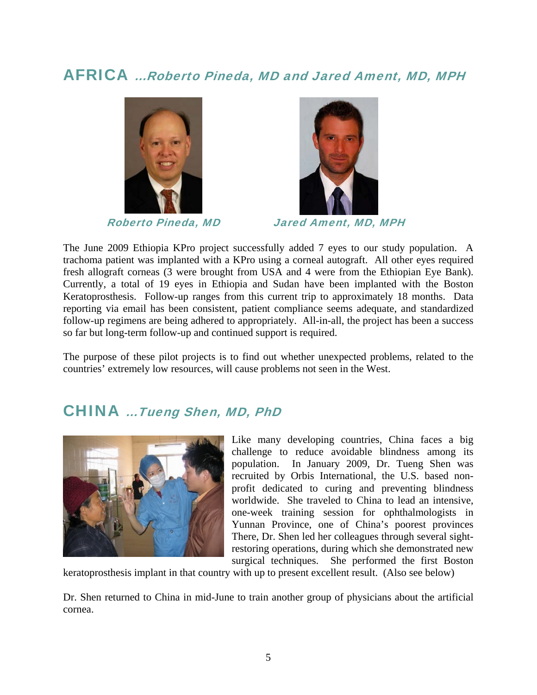### AFRICA …Roberto Pineda, MD and Jared Ament, MD, MPH





Roberto Pineda, MD Jared Ament, MD, MPH

The June 2009 Ethiopia KPro project successfully added 7 eyes to our study population. A trachoma patient was implanted with a KPro using a corneal autograft. All other eyes required fresh allograft corneas (3 were brought from USA and 4 were from the Ethiopian Eye Bank). Currently, a total of 19 eyes in Ethiopia and Sudan have been implanted with the Boston Keratoprosthesis. Follow-up ranges from this current trip to approximately 18 months. Data reporting via email has been consistent, patient compliance seems adequate, and standardized follow-up regimens are being adhered to appropriately. All-in-all, the project has been a success so far but long-term follow-up and continued support is required.

The purpose of these pilot projects is to find out whether unexpected problems, related to the countries' extremely low resources, will cause problems not seen in the West.

### CHINA …Tueng Shen, MD, PhD



Like many developing countries, China faces a big challenge to reduce avoidable blindness among its population. In January 2009, Dr. Tueng Shen was recruited by Orbis International, the U.S. based nonprofit dedicated to curing and preventing blindness worldwide. She traveled to China to lead an intensive, one-week training session for ophthalmologists in Yunnan Province, one of China's poorest provinces There, Dr. Shen led her colleagues through several sightrestoring operations, during which she demonstrated new surgical techniques. She performed the first Boston

keratoprosthesis implant in that country with up to present excellent result. (Also see below)

Dr. Shen returned to China in mid-June to train another group of physicians about the artificial cornea.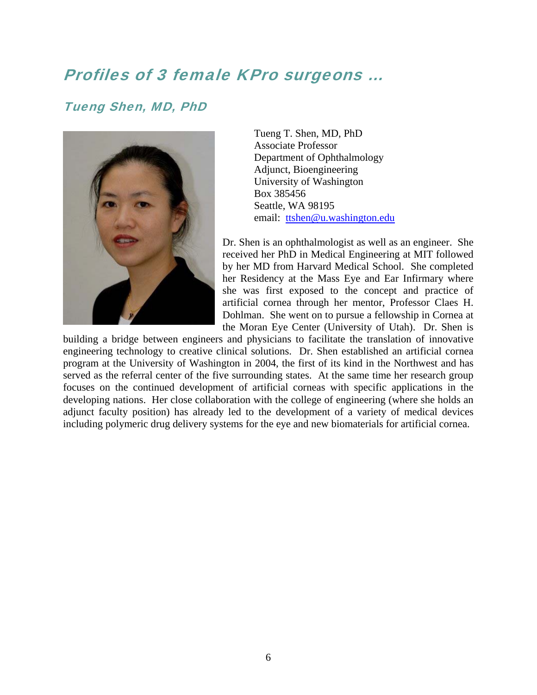### Profiles of 3 female KPro surgeons …

#### Tueng Shen, MD, PhD



Tueng T. Shen, MD, PhD Associate Professor Department of Ophthalmology Adjunct, Bioengineering University of Washington Box 385456 Seattle, WA 98195 email: ttshen@u.washington.edu

Dr. Shen is an ophthalmologist as well as an engineer. She received her PhD in Medical Engineering at MIT followed by her MD from Harvard Medical School. She completed her Residency at the Mass Eye and Ear Infirmary where she was first exposed to the concept and practice of artificial cornea through her mentor, Professor Claes H. Dohlman. She went on to pursue a fellowship in Cornea at the Moran Eye Center (University of Utah). Dr. Shen is

building a bridge between engineers and physicians to facilitate the translation of innovative engineering technology to creative clinical solutions. Dr. Shen established an artificial cornea program at the University of Washington in 2004, the first of its kind in the Northwest and has served as the referral center of the five surrounding states. At the same time her research group focuses on the continued development of artificial corneas with specific applications in the developing nations. Her close collaboration with the college of engineering (where she holds an adjunct faculty position) has already led to the development of a variety of medical devices including polymeric drug delivery systems for the eye and new biomaterials for artificial cornea.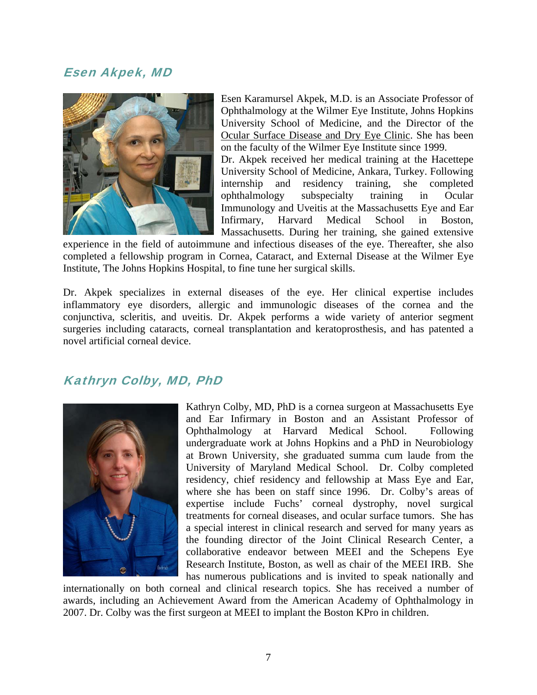#### Esen Akpek, MD



Esen Karamursel Akpek, M.D. is an Associate Professor of Ophthalmology at the Wilmer Eye Institute, Johns Hopkins University School of Medicine, and the Director of the Ocular Surface Disease and Dry Eye Clinic. She has been on the faculty of the Wilmer Eye Institute since 1999.

Dr. Akpek received her medical training at the Hacettepe University School of Medicine, Ankara, Turkey. Following internship and residency training, she completed ophthalmology subspecialty training in Ocular Immunology and Uveitis at the Massachusetts Eye and Ear Infirmary, Harvard Medical School in Boston, Massachusetts. During her training, she gained extensive

experience in the field of autoimmune and infectious diseases of the eye. Thereafter, she also completed a fellowship program in Cornea, Cataract, and External Disease at the Wilmer Eye Institute, The Johns Hopkins Hospital, to fine tune her surgical skills.

Dr. Akpek specializes in external diseases of the eye. Her clinical expertise includes inflammatory eye disorders, allergic and immunologic diseases of the cornea and the conjunctiva, scleritis, and uveitis. Dr. Akpek performs a wide variety of anterior segment surgeries including cataracts, corneal transplantation and keratoprosthesis, and has patented a novel artificial corneal device.

#### Kathryn Colby, MD, PhD



Kathryn Colby, MD, PhD is a cornea surgeon at Massachusetts Eye and Ear Infirmary in Boston and an Assistant Professor of Ophthalmology at Harvard Medical School. Following undergraduate work at Johns Hopkins and a PhD in Neurobiology at Brown University, she graduated summa cum laude from the University of Maryland Medical School. Dr. Colby completed residency, chief residency and fellowship at Mass Eye and Ear, where she has been on staff since 1996. Dr. Colby's areas of expertise include Fuchs' corneal dystrophy, novel surgical treatments for corneal diseases, and ocular surface tumors. She has a special interest in clinical research and served for many years as the founding director of the Joint Clinical Research Center, a collaborative endeavor between MEEI and the Schepens Eye Research Institute, Boston, as well as chair of the MEEI IRB. She has numerous publications and is invited to speak nationally and

internationally on both corneal and clinical research topics. She has received a number of awards, including an Achievement Award from the American Academy of Ophthalmology in 2007. Dr. Colby was the first surgeon at MEEI to implant the Boston KPro in children.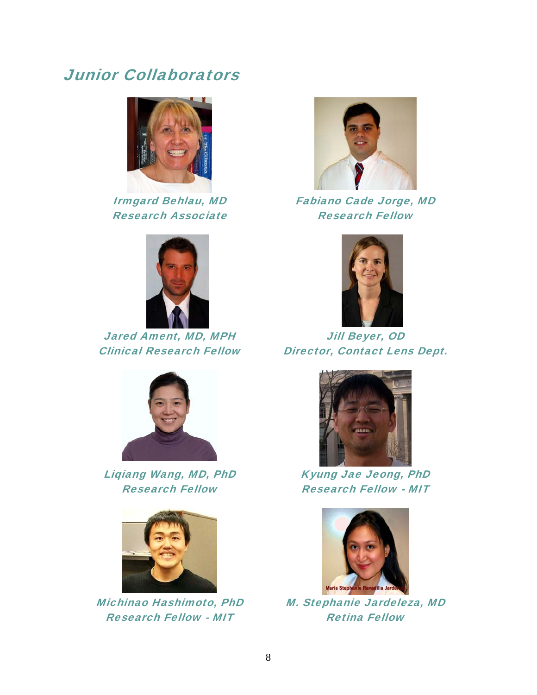### Junior Collaborators



Irmgard Behlau, MD Research Associate



Jared Ament, MD, MPH Clinical Research Fellow



Liqiang Wang, MD, PhD Research Fellow



Michinao Hashimoto, PhD Research Fellow - MIT



Fabiano Cade Jorge, MD Research Fellow



Jill Beyer, OD Director, Contact Lens Dept.



Kyung Jae Jeong, PhD Research Fellow - MIT



M. Stephanie Jardeleza, MD Retina Fellow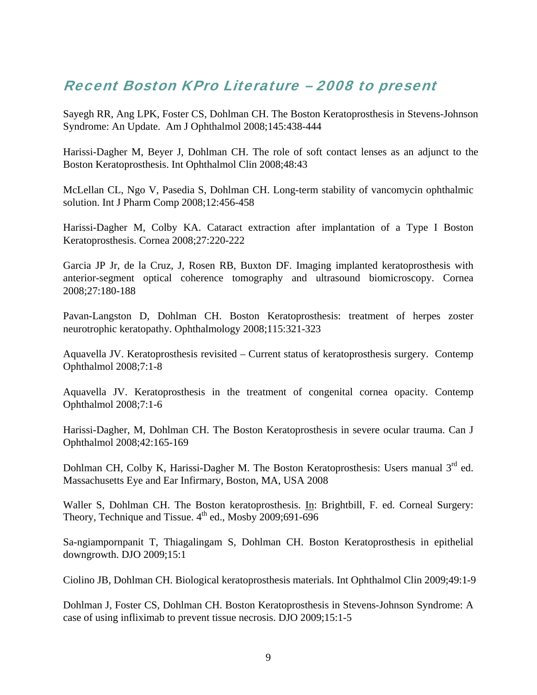### Recent Boston KPro Literature – 2008 to present

Sayegh RR, Ang LPK, Foster CS, Dohlman CH. The Boston Keratoprosthesis in Stevens-Johnson Syndrome: An Update. Am J Ophthalmol 2008;145:438-444

Harissi-Dagher M, Beyer J, Dohlman CH. The role of soft contact lenses as an adjunct to the Boston Keratoprosthesis. Int Ophthalmol Clin 2008;48:43

McLellan CL, Ngo V, Pasedia S, Dohlman CH. Long-term stability of vancomycin ophthalmic solution. Int J Pharm Comp 2008;12:456-458

Harissi-Dagher M, Colby KA. Cataract extraction after implantation of a Type I Boston Keratoprosthesis. Cornea 2008;27:220-222

Garcia JP Jr, de la Cruz, J, Rosen RB, Buxton DF. Imaging implanted keratoprosthesis with anterior-segment optical coherence tomography and ultrasound biomicroscopy. Cornea 2008;27:180-188

Pavan-Langston D, Dohlman CH. Boston Keratoprosthesis: treatment of herpes zoster neurotrophic keratopathy. Ophthalmology 2008;115:321-323

Aquavella JV. Keratoprosthesis revisited – Current status of keratoprosthesis surgery. Contemp Ophthalmol 2008;7:1-8

Aquavella JV. Keratoprosthesis in the treatment of congenital cornea opacity. Contemp Ophthalmol 2008;7:1-6

Harissi-Dagher, M, Dohlman CH. The Boston Keratoprosthesis in severe ocular trauma. Can J Ophthalmol 2008;42:165-169

Dohlman CH, Colby K, Harissi-Dagher M. The Boston Keratoprosthesis: Users manual  $3<sup>rd</sup>$  ed. Massachusetts Eye and Ear Infirmary, Boston, MA, USA 2008

Waller S, Dohlman CH. The Boston keratoprosthesis. In: Brightbill, F. ed. Corneal Surgery: Theory, Technique and Tissue.  $4^{th}$  ed., Mosby 2009;691-696

Sa-ngiampornpanit T, Thiagalingam S, Dohlman CH. Boston Keratoprosthesis in epithelial downgrowth. DJO 2009;15:1

Ciolino JB, Dohlman CH. Biological keratoprosthesis materials. Int Ophthalmol Clin 2009;49:1-9

Dohlman J, Foster CS, Dohlman CH. Boston Keratoprosthesis in Stevens-Johnson Syndrome: A case of using infliximab to prevent tissue necrosis. DJO 2009;15:1-5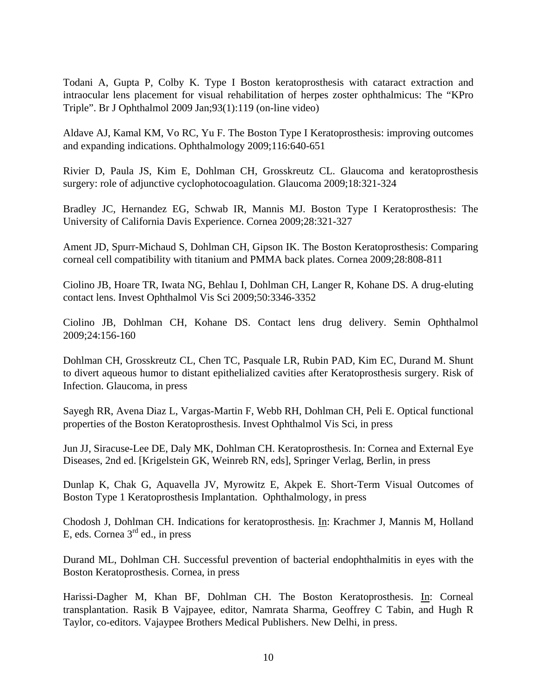Todani A, Gupta P, Colby K. Type I Boston keratoprosthesis with cataract extraction and intraocular lens placement for visual rehabilitation of herpes zoster ophthalmicus: The "KPro Triple". Br J Ophthalmol 2009 Jan;93(1):119 (on-line video)

Aldave AJ, Kamal KM, Vo RC, Yu F. The Boston Type I Keratoprosthesis: improving outcomes and expanding indications. Ophthalmology 2009;116:640-651

Rivier D, Paula JS, Kim E, Dohlman CH, Grosskreutz CL. Glaucoma and keratoprosthesis surgery: role of adjunctive cyclophotocoagulation. Glaucoma 2009;18:321-324

Bradley JC, Hernandez EG, Schwab IR, Mannis MJ. Boston Type I Keratoprosthesis: The University of California Davis Experience. Cornea 2009;28:321-327

Ament JD, Spurr-Michaud S, Dohlman CH, Gipson IK. The Boston Keratoprosthesis: Comparing corneal cell compatibility with titanium and PMMA back plates. Cornea 2009;28:808-811

Ciolino JB, Hoare TR, Iwata NG, Behlau I, Dohlman CH, Langer R, Kohane DS. A drug-eluting contact lens. Invest Ophthalmol Vis Sci 2009;50:3346-3352

Ciolino JB, Dohlman CH, Kohane DS. Contact lens drug delivery. Semin Ophthalmol 2009;24:156-160

Dohlman CH, Grosskreutz CL, Chen TC, Pasquale LR, Rubin PAD, Kim EC, Durand M. Shunt to divert aqueous humor to distant epithelialized cavities after Keratoprosthesis surgery. Risk of Infection. Glaucoma, in press

Sayegh RR, Avena Diaz L, Vargas-Martin F, Webb RH, Dohlman CH, Peli E. Optical functional properties of the Boston Keratoprosthesis. Invest Ophthalmol Vis Sci, in press

Jun JJ, Siracuse-Lee DE, Daly MK, Dohlman CH. Keratoprosthesis. In: Cornea and External Eye Diseases, 2nd ed. [Krigelstein GK, Weinreb RN, eds], Springer Verlag, Berlin, in press

Dunlap K, Chak G, Aquavella JV, Myrowitz E, Akpek E. Short-Term Visual Outcomes of Boston Type 1 Keratoprosthesis Implantation. Ophthalmology, in press

Chodosh J, Dohlman CH. Indications for keratoprosthesis. In: Krachmer J, Mannis M, Holland E, eds. Cornea  $3<sup>rd</sup>$  ed., in press

Durand ML, Dohlman CH. Successful prevention of bacterial endophthalmitis in eyes with the Boston Keratoprosthesis. Cornea, in press

Harissi-Dagher M, Khan BF, Dohlman CH. The Boston Keratoprosthesis. In: Corneal transplantation. Rasik B Vajpayee, editor, Namrata Sharma, Geoffrey C Tabin, and Hugh R Taylor, co-editors. Vajaypee Brothers Medical Publishers. New Delhi, in press.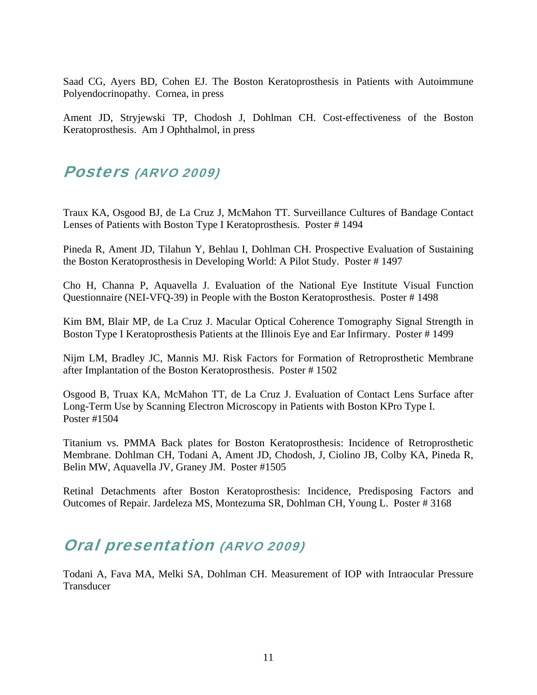Saad CG, Ayers BD, Cohen EJ. The Boston Keratoprosthesis in Patients with Autoimmune Polyendocrinopathy. Cornea, in press

Ament JD, Stryjewski TP, Chodosh J, Dohlman CH. Cost-effectiveness of the Boston Keratoprosthesis. Am J Ophthalmol, in press

### Posters (ARVO 2009)

Traux KA, Osgood BJ, de La Cruz J, McMahon TT. Surveillance Cultures of Bandage Contact Lenses of Patients with Boston Type I Keratoprosthesis. Poster # 1494

Pineda R, Ament JD, Tilahun Y, Behlau I, Dohlman CH. Prospective Evaluation of Sustaining the Boston Keratoprosthesis in Developing World: A Pilot Study. Poster # 1497

Cho H, Channa P, Aquavella J. Evaluation of the National Eye Institute Visual Function Questionnaire (NEI-VFQ-39) in People with the Boston Keratoprosthesis. Poster # 1498

Kim BM, Blair MP, de La Cruz J. Macular Optical Coherence Tomography Signal Strength in Boston Type I Keratoprosthesis Patients at the Illinois Eye and Ear Infirmary. Poster # 1499

Nijm LM, Bradley JC, Mannis MJ. Risk Factors for Formation of Retroprosthetic Membrane after Implantation of the Boston Keratoprosthesis. Poster # 1502

Osgood B, Truax KA, McMahon TT, de La Cruz J. Evaluation of Contact Lens Surface after Long-Term Use by Scanning Electron Microscopy in Patients with Boston KPro Type I. Poster #1504

Titanium vs. PMMA Back plates for Boston Keratoprosthesis: Incidence of Retroprosthetic Membrane. Dohlman CH, Todani A, Ament JD, Chodosh, J, Ciolino JB, Colby KA, Pineda R, Belin MW, Aquavella JV, Graney JM. Poster #1505

Retinal Detachments after Boston Keratoprosthesis: Incidence, Predisposing Factors and Outcomes of Repair. Jardeleza MS, Montezuma SR, Dohlman CH, Young L. Poster # 3168

# Oral presentation (ARVO 2009)

Todani A, Fava MA, Melki SA, Dohlman CH. Measurement of IOP with Intraocular Pressure **Transducer**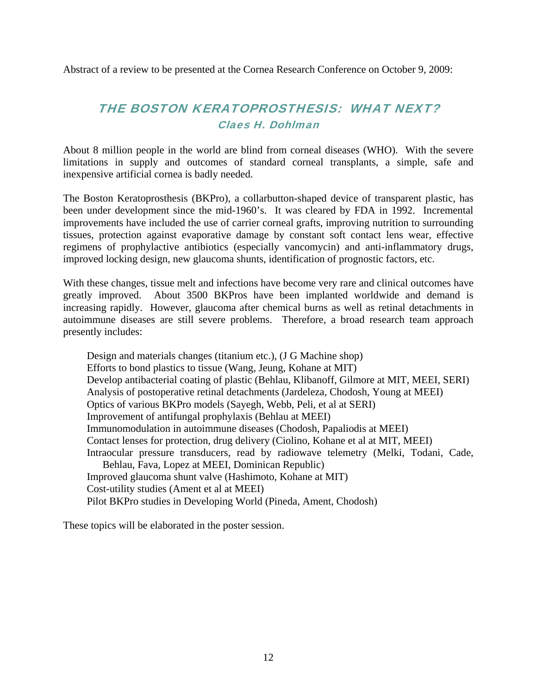Abstract of a review to be presented at the Cornea Research Conference on October 9, 2009:

#### THE BOSTON KERATOPROSTHESIS: WHAT NEXT? Claes H. Dohlman

About 8 million people in the world are blind from corneal diseases (WHO). With the severe limitations in supply and outcomes of standard corneal transplants, a simple, safe and inexpensive artificial cornea is badly needed.

The Boston Keratoprosthesis (BKPro), a collarbutton-shaped device of transparent plastic, has been under development since the mid-1960's. It was cleared by FDA in 1992. Incremental improvements have included the use of carrier corneal grafts, improving nutrition to surrounding tissues, protection against evaporative damage by constant soft contact lens wear, effective regimens of prophylactive antibiotics (especially vancomycin) and anti-inflammatory drugs, improved locking design, new glaucoma shunts, identification of prognostic factors, etc.

With these changes, tissue melt and infections have become very rare and clinical outcomes have greatly improved. About 3500 BKPros have been implanted worldwide and demand is increasing rapidly. However, glaucoma after chemical burns as well as retinal detachments in autoimmune diseases are still severe problems. Therefore, a broad research team approach presently includes:

Design and materials changes (titanium etc.), (J G Machine shop) Efforts to bond plastics to tissue (Wang, Jeung, Kohane at MIT) Develop antibacterial coating of plastic (Behlau, Klibanoff, Gilmore at MIT, MEEI, SERI) Analysis of postoperative retinal detachments (Jardeleza, Chodosh, Young at MEEI) Optics of various BKPro models (Sayegh, Webb, Peli, et al at SERI) Improvement of antifungal prophylaxis (Behlau at MEEI) Immunomodulation in autoimmune diseases (Chodosh, Papaliodis at MEEI) Contact lenses for protection, drug delivery (Ciolino, Kohane et al at MIT, MEEI) Intraocular pressure transducers, read by radiowave telemetry (Melki, Todani, Cade, Behlau, Fava, Lopez at MEEI, Dominican Republic) Improved glaucoma shunt valve (Hashimoto, Kohane at MIT) Cost-utility studies (Ament et al at MEEI) Pilot BKPro studies in Developing World (Pineda, Ament, Chodosh)

These topics will be elaborated in the poster session.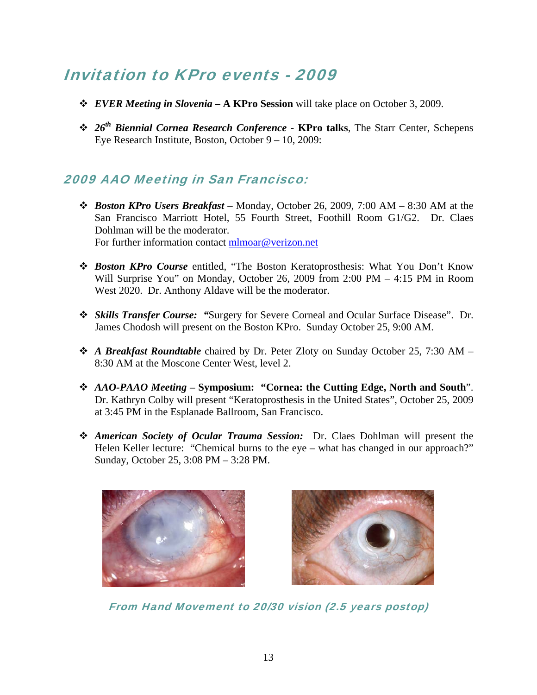# Invitation to KPro events - 2009

- *EVER Meeting in Slovenia* **A KPro Session** will take place on October 3, 2009.
- *26th Biennial Cornea Research Conference* **KPro talks**, The Starr Center, Schepens Eye Research Institute, Boston, October 9 – 10, 2009:

#### 2009 AAO Meeting in San Francisco:

- *Boston KPro Users Breakfast* Monday, October 26, 2009, 7:00 AM 8:30 AM at the San Francisco Marriott Hotel, 55 Fourth Street, Foothill Room G1/G2. Dr. Claes Dohlman will be the moderator. For further information contact mlmoar@verizon.net
- *Boston KPro Course* entitled, "The Boston Keratoprosthesis: What You Don't Know Will Surprise You" on Monday, October 26, 2009 from 2:00 PM – 4:15 PM in Room West 2020. Dr. Anthony Aldave will be the moderator.
- *Skills Transfer Course: "*Surgery for Severe Corneal and Ocular Surface Disease". Dr. James Chodosh will present on the Boston KPro. Sunday October 25, 9:00 AM.
- *A Breakfast Roundtable* chaired by Dr. Peter Zloty on Sunday October 25, 7:30 AM 8:30 AM at the Moscone Center West, level 2.
- *AAO-PAAO Meeting –* **Symposium: "Cornea: the Cutting Edge, North and South**". Dr. Kathryn Colby will present "Keratoprosthesis in the United States", October 25, 2009 at 3:45 PM in the Esplanade Ballroom, San Francisco.
- *American Society of Ocular Trauma Session:* Dr. Claes Dohlman will present the Helen Keller lecture: "Chemical burns to the eye – what has changed in our approach?" Sunday, October 25, 3:08 PM – 3:28 PM.





From Hand Movement to 20/30 vision (2.5 years postop)